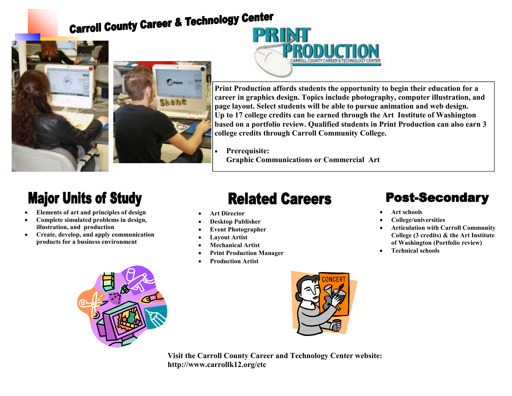# **Carroll County Career & Technology Center**







**Print Production affords students the opportunity to begin their education for a career in graphics design. Topics include photography, computer illustration, and page layout. Select students will be able to pursue animation and web design. Up to 17 college credits can be earned through the Art Institute of Washington based on a portfolio review. Qualified students in Print Production can also earn 3 college credits through Carroll Community College.** 

• **Prerequisite: Graphic Communications or Commercial Art** 

## **Major Units of Study**

- **Elements of art and principles of design**
- **Complete simulated problems in design, illustration, and production**
- **Create, develop, and apply communication products for a business environment**

### **Related Careers**

- **Art Director**
- **Desktop Publisher**
- **Event Photographer**
- **Layout Artist**
- **Mechanical Artist**
- **Print Production Manager**
- **Production Artist**



**Visit the Carroll County Career and Technology Center website: http://www.carrollk12.org/ctc** 

#### **Post-Secondary**

- **Art schools**
- **College/universities**
- **Articulation with Carroll Community College (3 credits) & the Art Institute of Washington (Portfolio review)**
- **Technical schools**